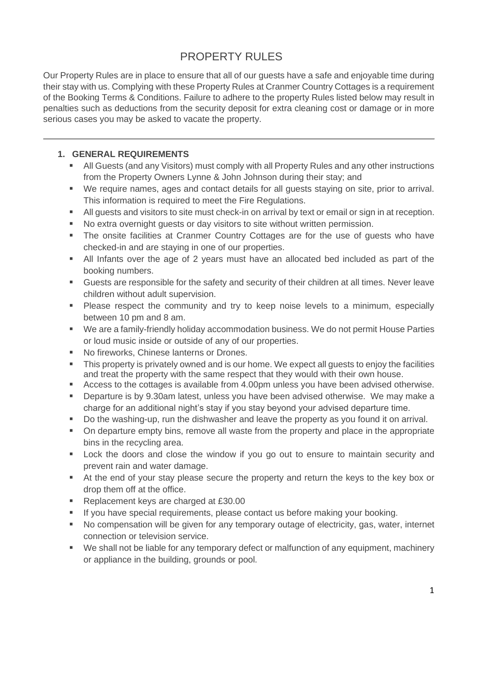# **PROPERTY RULES**

Our Property Rules are in place to ensure that all of our guests have a safe and enjoyable time during their stay with us. Complying with these Property Rules at Cranmer Country Cottages is a requirement of the Booking Terms & Conditions. Failure to adhere to the property Rules listed below may result in penalties such as deductions from the security deposit for extra cleaning cost or damage or in more serious cases you may be asked to vacate the property.

# **1. GENERAL REQUIREMENTS**

- **E** All Guests (and any Visitors) must comply with all Property Rules and any other instructions from the Property Owners Lynne & John Johnson during their stay; and
- We require names, ages and contact details for all guests staying on site, prior to arrival. This information is required to meet the Fire Regulations.
- All guests and visitors to site must check-in on arrival by text or email or sign in at reception.
- No extra overnight guests or day visitors to site without written permission.
- The onsite facilities at Cranmer Country Cottages are for the use of quests who have checked-in and are staying in one of our properties.
- All Infants over the age of 2 years must have an allocated bed included as part of the booking numbers.
- Guests are responsible for the safety and security of their children at all times. Never leave children without adult supervision.
- Please respect the community and try to keep noise levels to a minimum, especially between 10 pm and 8 am.
- We are a family-friendly holiday accommodation business. We do not permit House Parties or loud music inside or outside of any of our properties.
- No fireworks, Chinese lanterns or Drones.
- This property is privately owned and is our home. We expect all quests to enjoy the facilities and treat the property with the same respect that they would with their own house.
- Access to the cottages is available from 4.00pm unless you have been advised otherwise.
- Departure is by 9.30am latest, unless you have been advised otherwise. We may make a charge for an additional night's stay if you stay beyond your advised departure time.
- Do the washing-up, run the dishwasher and leave the property as you found it on arrival.
- On departure empty bins, remove all waste from the property and place in the appropriate bins in the recycling area.
- Lock the doors and close the window if you go out to ensure to maintain security and prevent rain and water damage.
- At the end of your stay please secure the property and return the keys to the key box or drop them off at the office.
- Replacement keys are charged at £30.00
- **E** If you have special requirements, please contact us before making your booking.
- No compensation will be given for any temporary outage of electricity, gas, water, internet connection or television service.
- We shall not be liable for any temporary defect or malfunction of any equipment, machinery or appliance in the building, grounds or pool.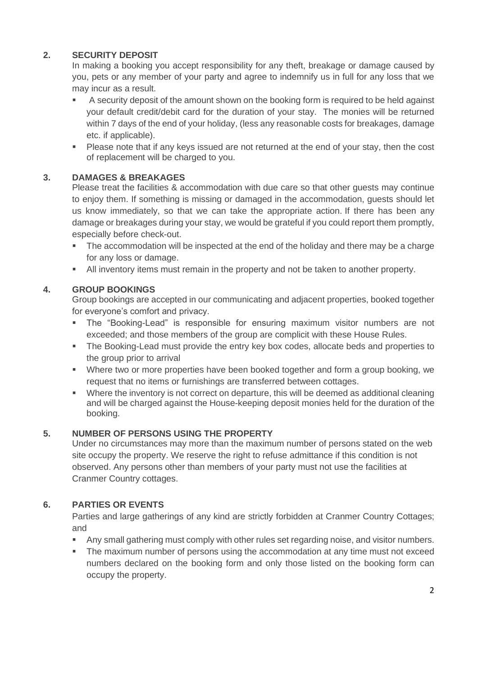# **2. SECURITY DEPOSIT**

In making a booking you accept responsibility for any theft, breakage or damage caused by you, pets or any member of your party and agree to indemnify us in full for any loss that we may incur as a result.

- A security deposit of the amount shown on the booking form is required to be held against your default credit/debit card for the duration of your stay. The monies will be returned within 7 days of the end of your holiday, (less any reasonable costs for breakages, damage etc. if applicable).
- Please note that if any keys issued are not returned at the end of your stay, then the cost of replacement will be charged to you.

## **3. DAMAGES & BREAKAGES**

Please treat the facilities & accommodation with due care so that other guests may continue to enjoy them. If something is missing or damaged in the accommodation, guests should let us know immediately, so that we can take the appropriate action. If there has been any damage or breakages during your stay, we would be grateful if you could report them promptly, especially before check-out.

- The accommodation will be inspected at the end of the holiday and there may be a charge for any loss or damage.
- **E** All inventory items must remain in the property and not be taken to another property.

# **4. GROUP BOOKINGS**

Group bookings are accepted in our communicating and adjacent properties, booked together for everyone's comfort and privacy.

- The "Booking-Lead" is responsible for ensuring maximum visitor numbers are not exceeded; and those members of the group are complicit with these House Rules.
- The Booking-Lead must provide the entry key box codes, allocate beds and properties to the group prior to arrival
- Where two or more properties have been booked together and form a group booking, we request that no items or furnishings are transferred between cottages.
- Where the inventory is not correct on departure, this will be deemed as additional cleaning and will be charged against the House-keeping deposit monies held for the duration of the booking.

# **5. NUMBER OF PERSONS USING THE PROPERTY**

Under no circumstances may more than the maximum number of persons stated on the web site occupy the property. We reserve the right to refuse admittance if this condition is not observed. Any persons other than members of your party must not use the facilities at Cranmer Country cottages.

## **6. PARTIES OR EVENTS**

Parties and large gatherings of any kind are strictly forbidden at Cranmer Country Cottages; and

- Any small gathering must comply with other rules set regarding noise, and visitor numbers.
- The maximum number of persons using the accommodation at any time must not exceed numbers declared on the booking form and only those listed on the booking form can occupy the property.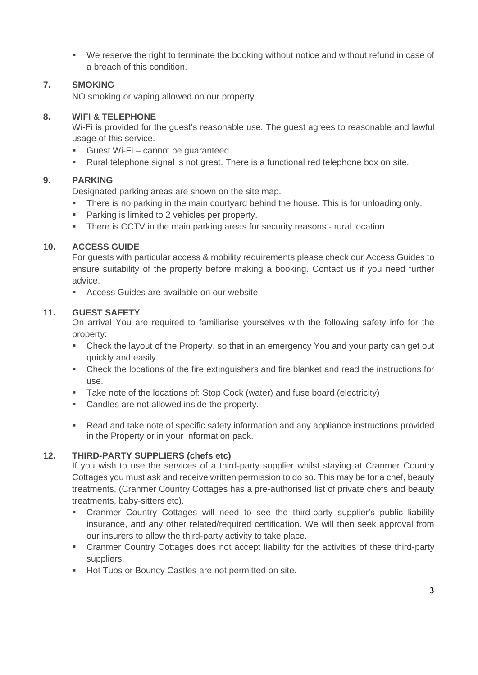■ We reserve the right to terminate the booking without notice and without refund in case of a breach of this condition.

## **7. SMOKING**

NO smoking or vaping allowed on our property.

## **8. WIFI & TELEPHONE**

Wi-Fi is provided for the guest's reasonable use. The guest agrees to reasonable and lawful usage of this service.

- Guest Wi-Fi cannot be quaranteed.
- Rural telephone signal is not great. There is a functional red telephone box on site.

## **9. PARKING**

Designated parking areas are shown on the site map.

- **•** There is no parking in the main courtyard behind the house. This is for unloading only.
- Parking is limited to 2 vehicles per property.
- There is CCTV in the main parking areas for security reasons rural location.

## **10. ACCESS GUIDE**

For guests with particular access & mobility requirements please check our Access Guides to ensure suitability of the property before making a booking. Contact us if you need further advice.

■ Access Guides are available on our website.

### **11. GUEST SAFETY**

On arrival You are required to familiarise yourselves with the following safety info for the property:

- Check the layout of the Property, so that in an emergency You and your party can get out quickly and easily.
- **•** Check the locations of the fire extinguishers and fire blanket and read the instructions for use.
- Take note of the locations of: Stop Cock (water) and fuse board (electricity)
- Candles are not allowed inside the property.
- Read and take note of specific safety information and any appliance instructions provided in the Property or in your Information pack.

## **12. THIRD-PARTY SUPPLIERS (chefs etc)**

If you wish to use the services of a third-party supplier whilst staying at Cranmer Country Cottages you must ask and receive written permission to do so. This may be for a chef, beauty treatments, (Cranmer Country Cottages has a pre-authorised list of private chefs and beauty treatments, baby-sitters etc).

- Cranmer Country Cottages will need to see the third-party supplier's public liability insurance, and any other related/required certification. We will then seek approval from our insurers to allow the third-party activity to take place.
- Cranmer Country Cottages does not accept liability for the activities of these third-party suppliers.
- Hot Tubs or Bouncy Castles are not permitted on site.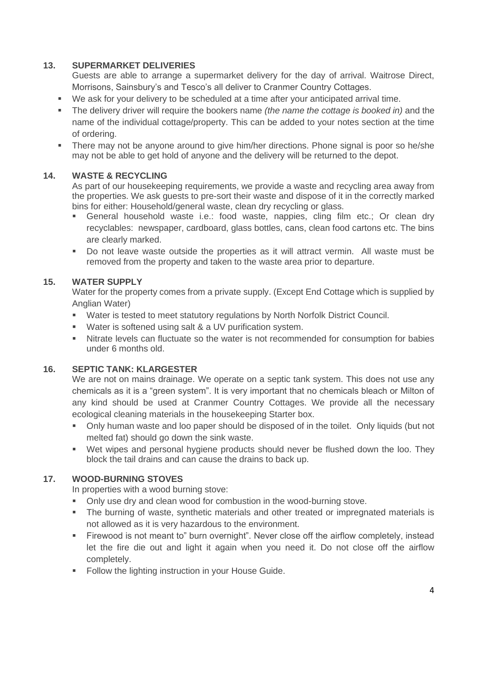### **13. SUPERMARKET DELIVERIES**

Guests are able to arrange a supermarket delivery for the day of arrival. Waitrose Direct, Morrisons, Sainsbury's and Tesco's all deliver to Cranmer Country Cottages.

- We ask for your delivery to be scheduled at a time after your anticipated arrival time.
- The delivery driver will require the bookers name *(the name the cottage is booked in)* and the name of the individual cottage/property. This can be added to your notes section at the time of ordering.
- **•** There may not be anyone around to give him/her directions. Phone signal is poor so he/she may not be able to get hold of anyone and the delivery will be returned to the depot.

### **14. WASTE & RECYCLING**

As part of our housekeeping requirements, we provide a waste and recycling area away from the properties. We ask guests to pre-sort their waste and dispose of it in the correctly marked bins for either: Household/general waste, clean dry recycling or glass.

- **EXECTE:** General household waste i.e.: food waste, nappies, cling film etc.; Or clean dry recyclables: newspaper, cardboard, glass bottles, cans, clean food cartons etc. The bins are clearly marked.
- Do not leave waste outside the properties as it will attract vermin. All waste must be removed from the property and taken to the waste area prior to departure.

#### **15. WATER SUPPLY**

Water for the property comes from a private supply. (Except End Cottage which is supplied by Anglian Water)

- Water is tested to meet statutory regulations by North Norfolk District Council.
- Water is softened using salt & a UV purification system.
- **EXECT** Nitrate levels can fluctuate so the water is not recommended for consumption for babies under 6 months old.

### **16. SEPTIC TANK: KLARGESTER**

We are not on mains drainage. We operate on a septic tank system. This does not use any chemicals as it is a "green system". It is very important that no chemicals bleach or Milton of any kind should be used at Cranmer Country Cottages. We provide all the necessary ecological cleaning materials in the housekeeping Starter box.

- Only human waste and loo paper should be disposed of in the toilet. Only liquids (but not melted fat) should go down the sink waste.
- Wet wipes and personal hygiene products should never be flushed down the loo. They block the tail drains and can cause the drains to back up.

## **17. WOOD-BURNING STOVES**

In properties with a wood burning stove:

- Only use dry and clean wood for combustion in the wood-burning stove.
- **The burning of waste, synthetic materials and other treated or impregnated materials is** not allowed as it is very hazardous to the environment.
- Firewood is not meant to" burn overnight". Never close off the airflow completely, instead let the fire die out and light it again when you need it. Do not close off the airflow completely.
- **Follow the lighting instruction in your House Guide.**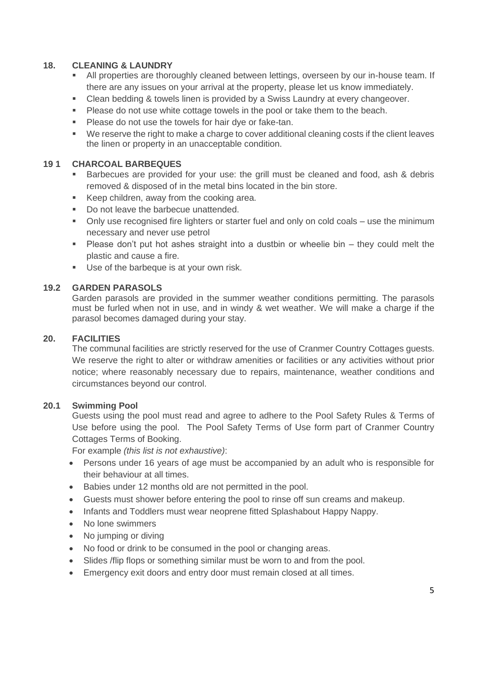### **18. CLEANING & LAUNDRY**

- All properties are thoroughly cleaned between lettings, overseen by our in-house team. If there are any issues on your arrival at the property, please let us know immediately.
- **EXEC** Clean bedding & towels linen is provided by a Swiss Laundry at every changeover.
- Please do not use white cottage towels in the pool or take them to the beach.
- Please do not use the towels for hair dye or fake-tan.
- We reserve the right to make a charge to cover additional cleaning costs if the client leaves the linen or property in an unacceptable condition.

### **19 1 CHARCOAL BARBEQUES**

- Barbecues are provided for your use: the grill must be cleaned and food, ash & debris removed & disposed of in the metal bins located in the bin store.
- Keep children, away from the cooking area.
- Do not leave the barbecue unattended.
- Only use recognised fire lighters or starter fuel and only on cold coals use the minimum necessary and never use petrol
- Please don't put hot ashes straight into a dustbin or wheelie bin they could melt the plastic and cause a fire.
- Use of the barbeque is at your own risk.

#### **19.2 GARDEN PARASOLS**

Garden parasols are provided in the summer weather conditions permitting. The parasols must be furled when not in use, and in windy & wet weather. We will make a charge if the parasol becomes damaged during your stay.

#### **20. FACILITIES**

The communal facilities are strictly reserved for the use of Cranmer Country Cottages guests. We reserve the right to alter or withdraw amenities or facilities or any activities without prior notice; where reasonably necessary due to repairs, maintenance, weather conditions and circumstances beyond our control.

#### **20.1 Swimming Pool**

Guests using the pool must read and agree to adhere to the Pool Safety Rules & Terms of Use before using the pool. The Pool Safety Terms of Use form part of Cranmer Country Cottages Terms of Booking.

For example *(this list is not exhaustive)*:

- Persons under 16 years of age must be accompanied by an adult who is responsible for their behaviour at all times.
- Babies under 12 months old are not permitted in the pool.
- Guests must shower before entering the pool to rinse off sun creams and makeup.
- Infants and Toddlers must wear neoprene fitted Splashabout Happy Nappy.
- No lone swimmers
- No jumping or diving
- No food or drink to be consumed in the pool or changing areas.
- Slides /flip flops or something similar must be worn to and from the pool.
- Emergency exit doors and entry door must remain closed at all times.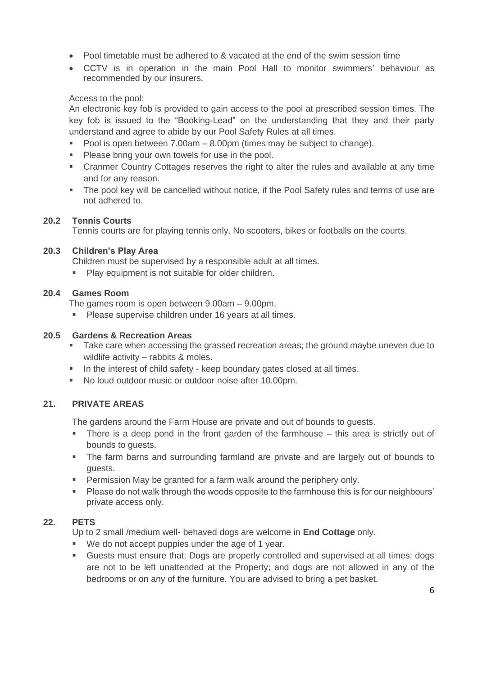- Pool timetable must be adhered to & vacated at the end of the swim session time
- CCTV is in operation in the main Pool Hall to monitor swimmers' behaviour as recommended by our insurers.

# Access to the pool:

An electronic key fob is provided to gain access to the pool at prescribed session times. The key fob is issued to the "Booking-Lead" on the understanding that they and their party understand and agree to abide by our Pool Safety Rules at all times.

- Pool is open between  $7.00$ am  $8.00$ pm (times may be subject to change).
- Please bring your own towels for use in the pool.
- Cranmer Country Cottages reserves the right to alter the rules and available at any time and for any reason.
- The pool key will be cancelled without notice, if the Pool Safety rules and terms of use are not adhered to.

## **20.2 Tennis Courts**

Tennis courts are for playing tennis only. No scooters, bikes or footballs on the courts.

## **20.3 Children's Play Area**

Children must be supervised by a responsible adult at all times.

Play equipment is not suitable for older children.

## **20.4 Games Room**

The games room is open between 9.00am – 9.00pm.

**• Please supervise children under 16 years at all times.** 

## **20.5 Gardens & Recreation Areas**

- Take care when accessing the grassed recreation areas; the ground maybe uneven due to wildlife activity – rabbits & moles.
- **.** In the interest of child safety keep boundary gates closed at all times.
- No loud outdoor music or outdoor noise after 10.00pm.

## **21. PRIVATE AREAS**

The gardens around the Farm House are private and out of bounds to guests.

- There is a deep pond in the front garden of the farmhouse this area is strictly out of bounds to guests.
- The farm barns and surrounding farmland are private and are largely out of bounds to guests.
- **Permission May be granted for a farm walk around the periphery only.**
- Please do not walk through the woods opposite to the farmhouse this is for our neighbours' private access only.

## **22. PETS**

Up to 2 small /medium well- behaved dogs are welcome in **End Cottage** only.

- We do not accept puppies under the age of 1 year.
- Guests must ensure that: Dogs are properly controlled and supervised at all times; dogs are not to be left unattended at the Property; and dogs are not allowed in any of the bedrooms or on any of the furniture. You are advised to bring a pet basket.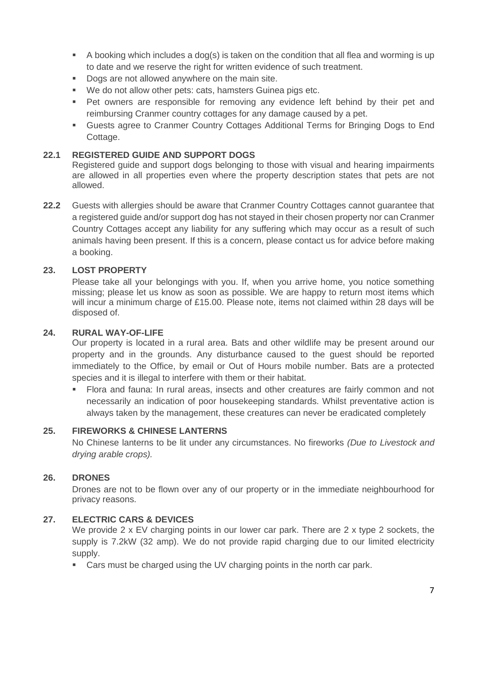- A booking which includes a dog(s) is taken on the condition that all flea and worming is up to date and we reserve the right for written evidence of such treatment.
- Dogs are not allowed anywhere on the main site.
- We do not allow other pets: cats, hamsters Guinea pigs etc.
- Pet owners are responsible for removing any evidence left behind by their pet and reimbursing Cranmer country cottages for any damage caused by a pet.
- Guests agree to Cranmer Country Cottages Additional Terms for Bringing Dogs to End Cottage.

### **22.1 REGISTERED GUIDE AND SUPPORT DOGS**

Registered guide and support dogs belonging to those with visual and hearing impairments are allowed in all properties even where the property description states that pets are not allowed.

**22.2** Guests with allergies should be aware that Cranmer Country Cottages cannot guarantee that a registered guide and/or support dog has not stayed in their chosen property nor can Cranmer Country Cottages accept any liability for any suffering which may occur as a result of such animals having been present. If this is a concern, please contact us for advice before making a booking.

### **23. LOST PROPERTY**

Please take all your belongings with you. If, when you arrive home, you notice something missing; please let us know as soon as possible. We are happy to return most items which will incur a minimum charge of £15.00. Please note, items not claimed within 28 days will be disposed of.

#### **24. RURAL WAY-OF-LIFE**

Our property is located in a rural area. Bats and other wildlife may be present around our property and in the grounds. Any disturbance caused to the guest should be reported immediately to the Office, by email or Out of Hours mobile number. Bats are a protected species and it is illegal to interfere with them or their habitat.

Flora and fauna: In rural areas, insects and other creatures are fairly common and not necessarily an indication of poor housekeeping standards. Whilst preventative action is always taken by the management, these creatures can never be eradicated completely

#### **25. FIREWORKS & CHINESE LANTERNS**

No Chinese lanterns to be lit under any circumstances. No fireworks *(Due to Livestock and drying arable crops).*

#### **26. DRONES**

Drones are not to be flown over any of our property or in the immediate neighbourhood for privacy reasons.

#### **27. ELECTRIC CARS & DEVICES**

We provide 2 x EV charging points in our lower car park. There are 2 x type 2 sockets, the supply is 7.2kW (32 amp). We do not provide rapid charging due to our limited electricity supply.

■ Cars must be charged using the UV charging points in the north car park.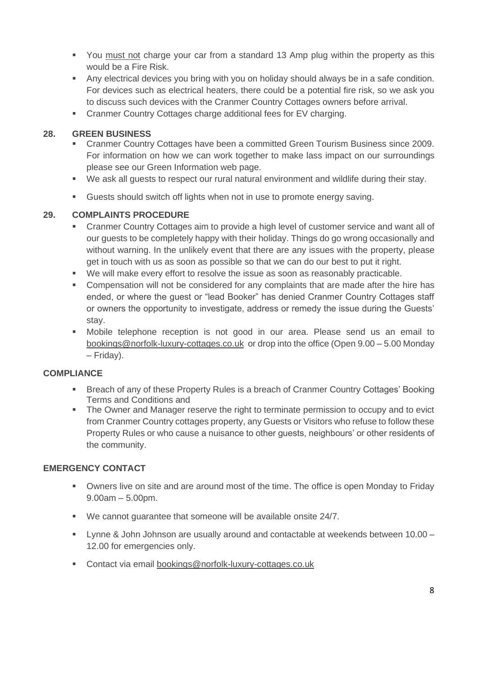- You must not charge your car from a standard 13 Amp plug within the property as this would be a Fire Risk.
- Any electrical devices you bring with you on holiday should always be in a safe condition. For devices such as electrical heaters, there could be a potential fire risk, so we ask you to discuss such devices with the Cranmer Country Cottages owners before arrival.
- Cranmer Country Cottages charge additional fees for EV charging.

# **28. GREEN BUSINESS**

- Cranmer Country Cottages have been a committed Green Tourism Business since 2009. For information on how we can work together to make lass impact on our surroundings please see our Green Information web page.
- We ask all guests to respect our rural natural environment and wildlife during their stay.
- Guests should switch off lights when not in use to promote energy saving.

# **29. COMPLAINTS PROCEDURE**

- Cranmer Country Cottages aim to provide a high level of customer service and want all of our guests to be completely happy with their holiday. Things do go wrong occasionally and without warning. In the unlikely event that there are any issues with the property, please get in touch with us as soon as possible so that we can do our best to put it right.
- We will make every effort to resolve the issue as soon as reasonably practicable.
- Compensation will not be considered for any complaints that are made after the hire has ended, or where the guest or "lead Booker" has denied Cranmer Country Cottages staff or owners the opportunity to investigate, address or remedy the issue during the Guests' stay.
- Mobile telephone reception is not good in our area. Please send us an email to [bookings@norfolk-luxury-cottages.co.uk](mailto:bookings@norfolk-luxury-cottages.co.uk) or drop into the office (Open 9.00 – 5.00 Monday – Friday).

## **COMPLIANCE**

- Breach of any of these Property Rules is a breach of Cranmer Country Cottages' Booking Terms and Conditions and
- **The Owner and Manager reserve the right to terminate permission to occupy and to evict** from Cranmer Country cottages property, any Guests or Visitors who refuse to follow these Property Rules or who cause a nuisance to other guests, neighbours' or other residents of the community.

## **EMERGENCY CONTACT**

- Owners live on site and are around most of the time. The office is open Monday to Friday 9.00am – 5.00pm.
- We cannot quarantee that someone will be available onsite 24/7.
- Lynne & John Johnson are usually around and contactable at weekends between 10.00 12.00 for emergencies only.
- Contact via email [bookings@norfolk-luxury-cottages.co.uk](mailto:bookings@norfolk-luxury-cottages.co.uk)